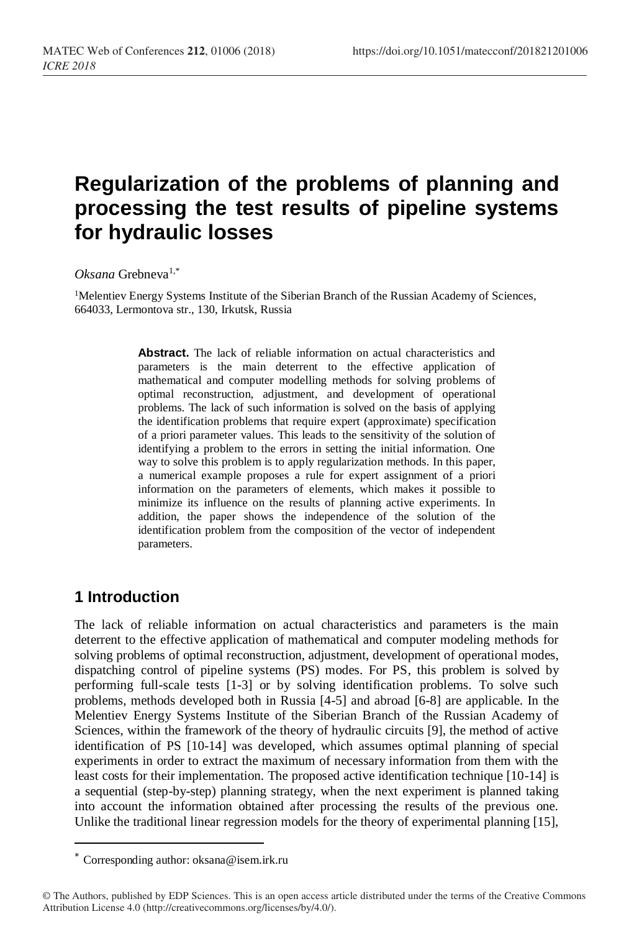# **Regularization of the problems of planning and processing the test results of pipeline systems for hydraulic losses**

#### *Oksana* Grebneva1,\*

<sup>1</sup>Melentiev Energy Systems Institute of the Siberian Branch of the Russian Academy of Sciences, 664033, Lermontova str., 130, Irkutsk, Russia

> **Abstract.** The lack of reliable information on actual characteristics and parameters is the main deterrent to the effective application of mathematical and computer modelling methods for solving problems of optimal reconstruction, adjustment, and development of operational problems. The lack of such information is solved on the basis of applying the identification problems that require expert (approximate) specification of a priori parameter values. This leads to the sensitivity of the solution of identifying a problem to the errors in setting the initial information. One way to solve this problem is to apply regularization methods. In this paper, a numerical example proposes a rule for expert assignment of a priori information on the parameters of elements, which makes it possible to minimize its influence on the results of planning active experiments. In addition, the paper shows the independence of the solution of the identification problem from the composition of the vector of independent parameters.

## **1 Introduction**

 $\overline{a}$ 

The lack of reliable information on actual characteristics and parameters is the main deterrent to the effective application of mathematical and computer modeling methods for solving problems of optimal reconstruction, adjustment, development of operational modes, dispatching control of pipeline systems (PS) modes. For PS, this problem is solved by performing full-scale tests [1-3] or by solving identification problems. To solve such problems, methods developed both in Russia [4-5] and abroad [6-8] are applicable. In the Melentiev Energy Systems Institute of the Siberian Branch of the Russian Academy of Sciences, within the framework of the theory of hydraulic circuits [9], the method of active identification of PS [10-14] was developed, which assumes optimal planning of special experiments in order to extract the maximum of necessary information from them with the least costs for their implementation. The proposed active identification technique [10-14] is a sequential (step-by-step) planning strategy, when the next experiment is planned taking into account the information obtained after processing the results of the previous one. Unlike the traditional linear regression models for the theory of experimental planning [15],

<sup>\*</sup> Corresponding author: oksana@isem.irk.ru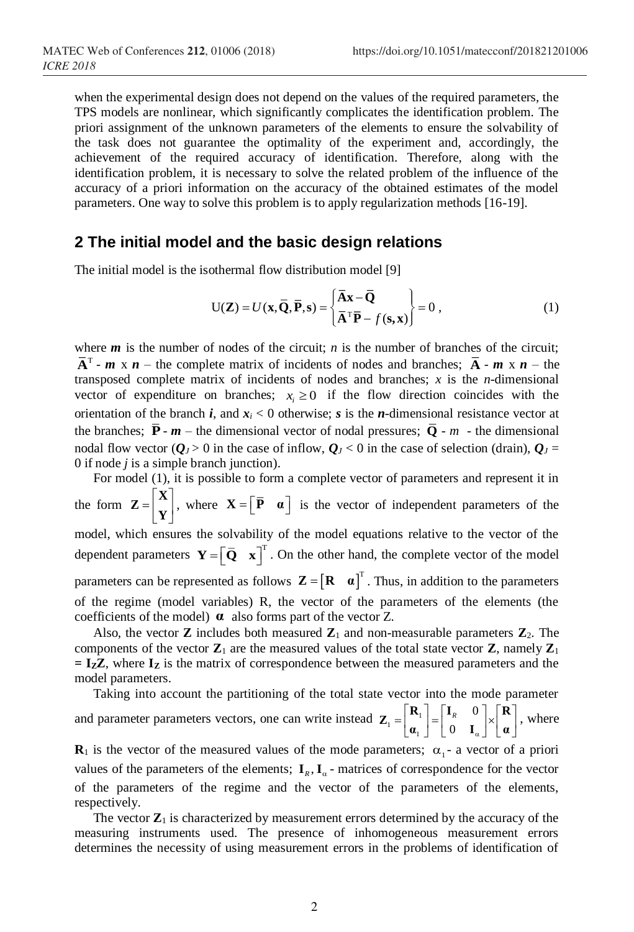when the experimental design does not depend on the values of the required parameters, the TPS models are nonlinear, which significantly complicates the identification problem. The priori assignment of the unknown parameters of the elements to ensure the solvability of the task does not guarantee the optimality of the experiment and, accordingly, the achievement of the required accuracy of identification. Therefore, along with the identification problem, it is necessary to solve the related problem of the influence of the accuracy of a priori information on the accuracy of the obtained estimates of the model parameters. One way to solve this problem is to apply regularization methods [16-19].

### **2 The initial model and the basic design relations**

The initial model is the isothermal flow distribution model [9]

$$
U(\mathbf{Z}) = U(\mathbf{x}, \overline{\mathbf{Q}}, \overline{\mathbf{P}}, \mathbf{s}) = \begin{Bmatrix} \overline{\mathbf{A}}\mathbf{x} - \overline{\mathbf{Q}} \\ \overline{\mathbf{A}}^{\mathrm{T}}\overline{\mathbf{P}} - f(\mathbf{s}, \mathbf{x}) \end{Bmatrix} = 0 ,
$$
 (1)

where *m* is the number of nodes of the circuit; *n* is the number of branches of the circuit;  $A^T$  - *m* x *n* – the complete matrix of incidents of nodes and branches;  $A - m \times n$  – the transposed complete matrix of incidents of nodes and branches; *x* is the *n*-dimensional vector of expenditure on branches;  $x_i \geq 0$  if the flow direction coincides with the orientation of the branch *i*, and  $x_i < 0$  otherwise; *s* is the *n*-dimensional resistance vector at the branches;  $P - m$  – the dimensional vector of nodal pressures;  $Q - m$  - the dimensional nodal flow vector ( $Q_J$  > 0 in the case of inflow,  $Q_J$  < 0 in the case of selection (drain),  $Q_J$  = 0 if node *j* is a simple branch junction).

For model (1), it is possible to form a complete vector of parameters and represent it in the form  $\mathbf{Z} = \begin{bmatrix} \mathbf{X} \\ \mathbf{Y} \end{bmatrix}$ , where  $\mathbf{X} = \begin{bmatrix} \mathbf{\overline{P}} & \mathbf{\alpha} \end{bmatrix}$  is the vector of independent parameters of the model, which ensures the solvability of the model equations relative to the vector of the dependent parameters  $\mathbf{Y} = \begin{bmatrix} \overline{\mathbf{Q}} & \mathbf{x} \end{bmatrix}^T$ . On the other hand, the complete vector of the model parameters can be represented as follows  $\mathbf{Z} = [\mathbf{R} \quad \mathbf{\alpha}]^T$ . Thus, in addition to the parameters of the regime (model variables) R, the vector of the parameters of the elements (the coefficients of the model) **α** also forms part of the vector Z.

Also, the vector **Z** includes both measured  $\mathbb{Z}_1$  and non-measurable parameters  $\mathbb{Z}_2$ . The components of the vector  $\mathbf{Z}_1$  are the measured values of the total state vector  $\mathbf{Z}_1$  namely  $\mathbf{Z}_1$ **= IZZ**, where **I<sup>Z</sup>** is the matrix of correspondence between the measured parameters and the model parameters.

Taking into account the partitioning of the total state vector into the mode parameter and parameter parameters vectors, one can write instead  $Z_1 = \begin{bmatrix} z_1 \\ z_2 \end{bmatrix}$ 0 0 *R* α  $\mathbf{Z}_{1} = \begin{bmatrix} \mathbf{R}_{1} \\ \mathbf{\alpha}_{1} \end{bmatrix} = \begin{bmatrix} \mathbf{I}_{R} & 0 \\ 0 & \mathbf{I}_{\alpha} \end{bmatrix} \times \begin{bmatrix} \mathbf{R} \\ \mathbf{\alpha} \end{bmatrix}$ , where

 $\mathbf{R}_1$  is the vector of the measured values of the mode parameters;  $\alpha_1$ - a vector of a priori values of the parameters of the elements;  $I_R$ ,  $I_\alpha$  - matrices of correspondence for the vector of the parameters of the regime and the vector of the parameters of the elements, respectively.

The vector  $\mathbf{Z}_1$  is characterized by measurement errors determined by the accuracy of the measuring instruments used. The presence of inhomogeneous measurement errors determines the necessity of using measurement errors in the problems of identification of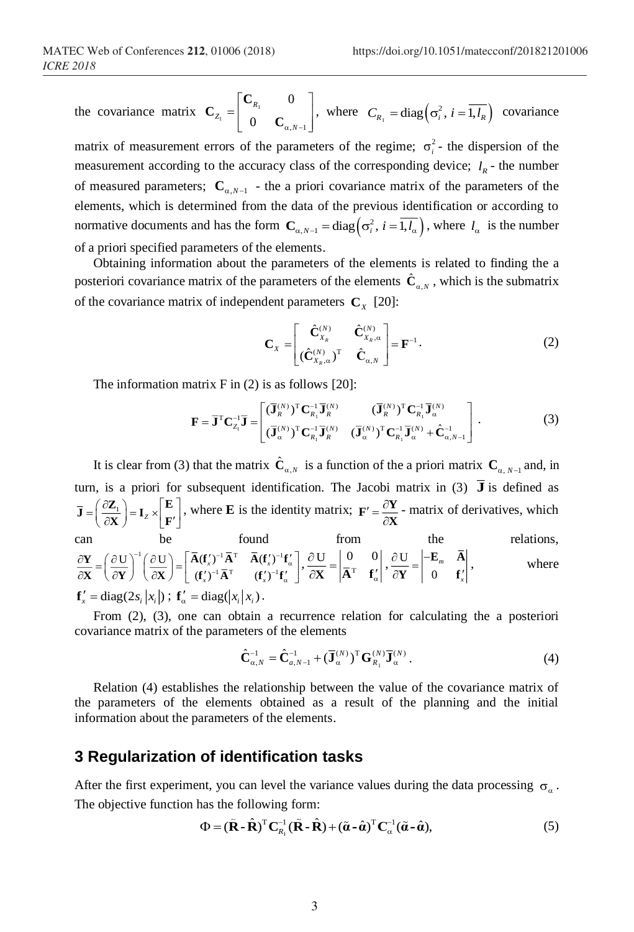the covariance matrix  $C_{z} = \begin{bmatrix} 1 & 0 \\ 0 & 1 \end{bmatrix}$  $\begin{array}{cc} \n\frac{1}{2} & \begin{array}{|c|c|} \hline \end{array} & 0 & \mathbf{C}_{\alpha,N-1} \n\end{array}$ 0 0 *R Z* <sup>−</sup> *N*  $=$  $\begin{bmatrix} \mathbf{C}_{R_1} & 0 \\ 0 & \mathbf{C}_{\alpha,N-1} \end{bmatrix}$ **C**  $\[\mathbf{C}_{\mathbf{R}_{i}}\]$ , where  $C_{\mathbf{R}_{i}} = \text{diag}\left(\sigma_{i}^{2}, i = \overline{1, l_{R}}\right)$  covariance

matrix of measurement errors of the parameters of the regime;  $\sigma_i^2$ - the dispersion of the measurement according to the accuracy class of the corresponding device;  $l<sub>R</sub>$  - the number of measured parameters;  $\mathbf{C}_{\alpha, N-1}$  - the a priori covariance matrix of the parameters of the elements, which is determined from the data of the previous identification or according to normative documents and has the form  $\mathbf{C}_{\alpha, N-1} = \text{diag}\left(\sigma_i^2, i = \overline{1, l_\alpha}\right)$ , where  $l_\alpha$  is the number of a priori specified parameters of the elements.

Obtaining information about the parameters of the elements is related to finding the a posteriori covariance matrix of the parameters of the elements  $\mathbf{C}_{\alpha}$  $\hat{\mathbf{C}}_{\alpha,N}$ , which is the submatrix of the covariance matrix of independent parameters  $\mathbf{C}_x$  [20]:

$$
\mathbf{C}_{X} = \begin{bmatrix} \hat{\mathbf{C}}_{X_{R}}^{(N)} & \hat{\mathbf{C}}_{X_{R},\alpha}^{(N)} \\ (\hat{\mathbf{C}}_{X_{R},\alpha}^{(N)})^{\mathrm{T}} & \hat{\mathbf{C}}_{\alpha,N} \end{bmatrix} = \mathbf{F}^{-1}.
$$
 (2)

The information matrix  $F$  in (2) is as follows [20]:

$$
\mathbf{F} = \overline{\mathbf{J}}^{\mathrm{T}} \mathbf{C}_{Z_i}^{-1} \overline{\mathbf{J}} = \begin{bmatrix} (\overline{\mathbf{J}}_R^{(N)})^{\mathrm{T}} \mathbf{C}_{R_1}^{-1} \overline{\mathbf{J}}_R^{(N)} & (\overline{\mathbf{J}}_R^{(N)})^{\mathrm{T}} \mathbf{C}_{R_1}^{-1} \overline{\mathbf{J}}_R^{(N)} \\ (\overline{\mathbf{J}}_R^{(N)})^{\mathrm{T}} \mathbf{C}_{R_1}^{-1} \overline{\mathbf{J}}_R^{(N)} & (\overline{\mathbf{J}}_R^{(N)})^{\mathrm{T}} \mathbf{C}_{R_1}^{-1} \overline{\mathbf{J}}_R^{(N)} + \hat{\mathbf{C}}_{\alpha,N-1}^{-1} \end{bmatrix} .
$$
 (3)

It is clear from (3) that the matrix  $\hat{\mathbf{C}}_{\alpha,N}$  is a function of the a priori matrix  $\mathbf{C}_{\alpha,N-1}$  and, in turn, is a priori for subsequent identification. The Jacobi matrix in (3)  $\overline{J}$  is defined as  $\left(\frac{\partial \mathbf{Z}_1}{\partial \mathbf{Z}_2}\right) = \mathbf{I}_Z \times \left[\begin{matrix} \mathbf{E} \\ \mathbf{E} \end{matrix}\right]$  $\overline{\mathbf{J}} = \left(\frac{\partial \mathbf{Z}_1}{\partial \mathbf{X}}\right) = \mathbf{I}_z \times \left[\frac{\mathbf{E}}{\mathbf{F}'}\right]$ , where **E** is the identity matrix;  $\mathbf{F}' = \frac{\partial \mathbf{Z}}{\partial \mathbf{X}}$  $\mathbf{F}' = \frac{\partial \mathbf{Y}}{\partial \mathbf{X}}$  - matrix of derivatives, which can be found from the relations,  $1 \wedge \sim \sim \sqrt{2}$   $\sqrt{2} \wedge \sim 1$   $\sqrt{1}$   $\sqrt{2} \wedge \sim 1$  $\frac{\mathbf{U}}{\mathbf{V}}\left[\begin{array}{c} \frac{\partial \mathbf{U}}{\partial \mathbf{V}} \end{array}\right] = \left[\begin{array}{cc} \mathbf{A}(\mathbf{f}_{x}')^{-1}\mathbf{A}^{T} & \mathbf{A}(\mathbf{f}_{x}')^{-1} \\ \frac{\partial \mathbf{f}}{\partial \mathbf{V}}\mathbf{A}^{-1}\mathbf{A}^{-T} & \frac{\partial \mathbf{f}}{\partial \mathbf{V}}^{-1}\end{array}\right]$  $(\mathbf{f}'_r)^{-1} \overline{\mathbf{A}}^T$   $(\mathbf{f}'_r)$ *x x*  $\begin{bmatrix} \frac{\partial \mathbf{U}}{\partial \mathbf{X}} \end{bmatrix} = \begin{bmatrix} \mathbf{A} (\mathbf{f}_{x}^{t})^{-1} \mathbf{A}^{T} & \mathbf{A} (\mathbf{f}_{x}^{t})^{-1} \mathbf{f}_{\alpha}^{t} \\ (\mathbf{f}_{x}^{t})^{-1} \bar{\mathbf{A}}^{T} & (\mathbf{f}_{x}^{t})^{-1} \mathbf{f}_{\alpha}^{t} \end{bmatrix}$  $\partial \mathbf{Y} = \left(\begin{array}{cc} \partial \, \mathrm{U} \, \end{array}\right)^{-1} \left(\begin{array}{c} \partial \, \mathrm{U} \end{array}\right) = \left[\begin{array}{cc} \mathbf{\bar{A}} (\mathbf{f}'_x)^{-1} \mathbf{\bar{A}}^{\mathrm{T}} & \mathbf{\bar{A}} (\mathbf{f}'_x)^{-1} \mathbf{f}'_a\end{array}\right].$  $\frac{\partial \mathbf{Y}}{\partial \mathbf{X}} = \left(\frac{\partial \mathbf{U}}{\partial \mathbf{Y}}\right)^{\mathrm{T}} \left(\frac{\partial \mathbf{U}}{\partial \mathbf{X}}\right) = \left[\begin{array}{cc} \mathbf{A}(\mathbf{f}_{x}^{t})^{-1} \mathbf{A}^{\mathrm{T}} & \mathbf{A}(\mathbf{f}_{x}^{t})^{-1} \mathbf{f}_{\alpha}^{t} \\ (\mathbf{f}_{x}^{t})^{-1} \mathbf{A}^{\mathrm{T}} & (\mathbf{f}_{x}^{t})^{-1} \mathbf{f}_{\alpha}^{t} \end{array}\right]$  $\mathbf{X} = \left(\frac{\partial \mathbf{U}}{\partial \mathbf{Y}}\right) \left(\frac{\partial \mathbf{U}}{\partial \mathbf{X}}\right) = \left|\begin{array}{cc} \mathbf{A}(\mathbf{I}_x) & \mathbf{A} & \mathbf{A}(\mathbf{I}_x) & \mathbf{I}_a \\ (\mathbf{f}')^{-1}\mathbf{A}^{\mathrm{T}} & (\mathbf{f}')^{-1}\mathbf{f}' \end{array}\right|, \frac{\partial \mathbf{U}}{\partial \mathbf{X}} = \left|\begin{array}{cc} \mathbf{0} & \mathbf{I} \\ \mathbf{A}^{\mathrm{T}} & \mathbf{I} \end{array}\right|$ U 0 0 α  $\frac{\partial \mathbf{U}}{\partial \mathbf{X}} = \begin{vmatrix} 0 & 0 \\ \mathbf{A}^{\mathrm{T}} & \mathbf{f}'_z \end{vmatrix}, \frac{\partial \mathbf{U}}{\partial \mathbf{Y}}$ 0 *m*  $\frac{\partial \mathbf{U}}{\partial \mathbf{Y}} = \begin{vmatrix} -\mathbf{E}_m & \mathbf{A} \\ 0 & \mathbf{f}' \end{vmatrix}$ **E A Y f** where

 $f'_x = \text{diag}(2 s_i | x_i) ; f'_a = \text{diag}(x_i | x_i).$ 

From (2), (3), one can obtain a recurrence relation for calculating the a posteriori covariance matrix of the parameters of the elements

$$
\hat{\mathbf{C}}_{\alpha,N}^{-1} = \hat{\mathbf{C}}_{\alpha,N-1}^{-1} + (\overline{\mathbf{J}}_{\alpha}^{(N)})^{\mathrm{T}} \mathbf{G}_{R_1}^{(N)} \overline{\mathbf{J}}_{\alpha}^{(N)}.
$$
\n(4)

Relation (4) establishes the relationship between the value of the covariance matrix of the parameters of the elements obtained as a result of the planning and the initial information about the parameters of the elements.

## **3 Regularization of identification tasks**

After the first experiment, you can level the variance values during the data processing  $\sigma_a$ . The objective function has the following form:

$$
\Phi = (\tilde{\mathbf{R}} \cdot \hat{\mathbf{R}})^{\mathrm{T}} \mathbf{C}_{R_1}^{-1} (\tilde{\mathbf{R}} \cdot \hat{\mathbf{R}}) + (\tilde{\boldsymbol{\alpha}} \cdot \hat{\boldsymbol{\alpha}})^{\mathrm{T}} \mathbf{C}_{\alpha}^{-1} (\tilde{\boldsymbol{\alpha}} \cdot \hat{\boldsymbol{\alpha}}),
$$
\n(5)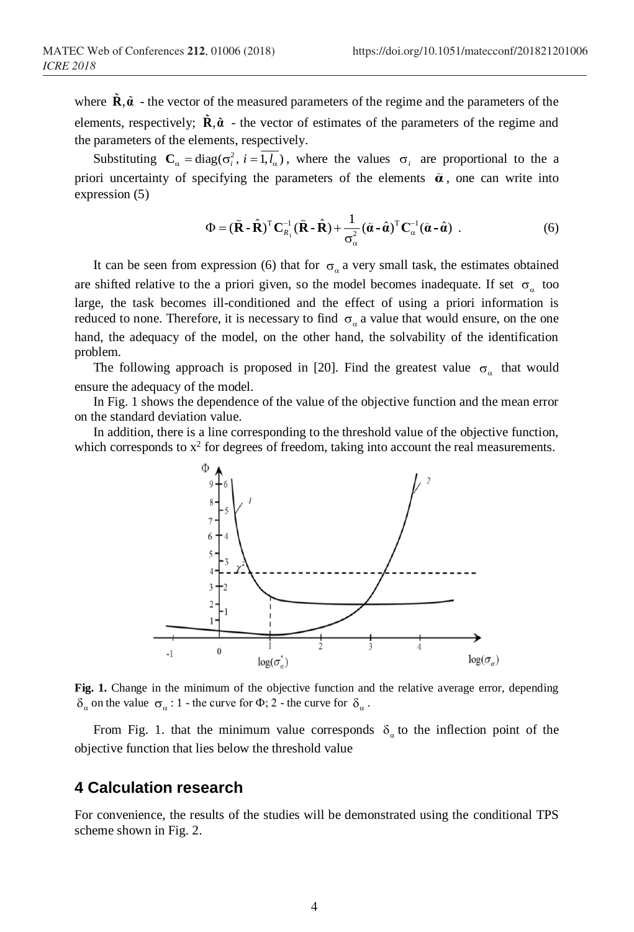where  $\mathbf{R}, \tilde{\mathbf{\alpha}}$  - the vector of the measured parameters of the regime and the parameters of the elements, respectively;  $\mathbf{R}, \tilde{\boldsymbol{\alpha}}$  - the vector of estimates of the parameters of the regime and the parameters of the elements, respectively.

Substituting  $C_{\alpha} = diag(\sigma_i^2, i = 1, l_{\alpha})$ , where the values  $\sigma_i$  are proportional to the a priori uncertainty of specifying the parameters of the elements  $\tilde{\alpha}$ , one can write into expression (5)

$$
\Phi = (\tilde{\mathbf{R}} \cdot \hat{\mathbf{R}})^{\mathrm{T}} \mathbf{C}_{R_1}^{-1} (\tilde{\mathbf{R}} \cdot \hat{\mathbf{R}}) + \frac{1}{\sigma_{\alpha}^2} (\tilde{\boldsymbol{\alpha}} \cdot \hat{\boldsymbol{\alpha}})^{\mathrm{T}} \mathbf{C}_{\alpha}^{-1} (\tilde{\boldsymbol{\alpha}} \cdot \hat{\boldsymbol{\alpha}}) \tag{6}
$$

It can be seen from expression (6) that for  $\sigma_a$  a very small task, the estimates obtained are shifted relative to the a priori given, so the model becomes inadequate. If set  $\sigma_{\alpha}$  too large, the task becomes ill-conditioned and the effect of using a priori information is reduced to none. Therefore, it is necessary to find  $\sigma_a$  a value that would ensure, on the one hand, the adequacy of the model, on the other hand, the solvability of the identification problem.

The following approach is proposed in [20]. Find the greatest value  $\sigma_a$  that would ensure the adequacy of the model.

In Fig. 1 shows the dependence of the value of the objective function and the mean error on the standard deviation value.

In addition, there is a line corresponding to the threshold value of the objective function, which corresponds to  $x^2$  for degrees of freedom, taking into account the real measurements.



**Fig. 1.** Change in the minimum of the objective function and the relative average error, depending  $\delta_{\alpha}$  on the value  $\sigma_{\alpha}$  : 1 - the curve for  $\Phi$ ; 2 - the curve for  $\delta_{\alpha}$ .

From Fig. 1. that the minimum value corresponds  $\delta_a$  to the inflection point of the objective function that lies below the threshold value

#### **4 Calculation research**

For convenience, the results of the studies will be demonstrated using the conditional TPS scheme shown in Fig. 2.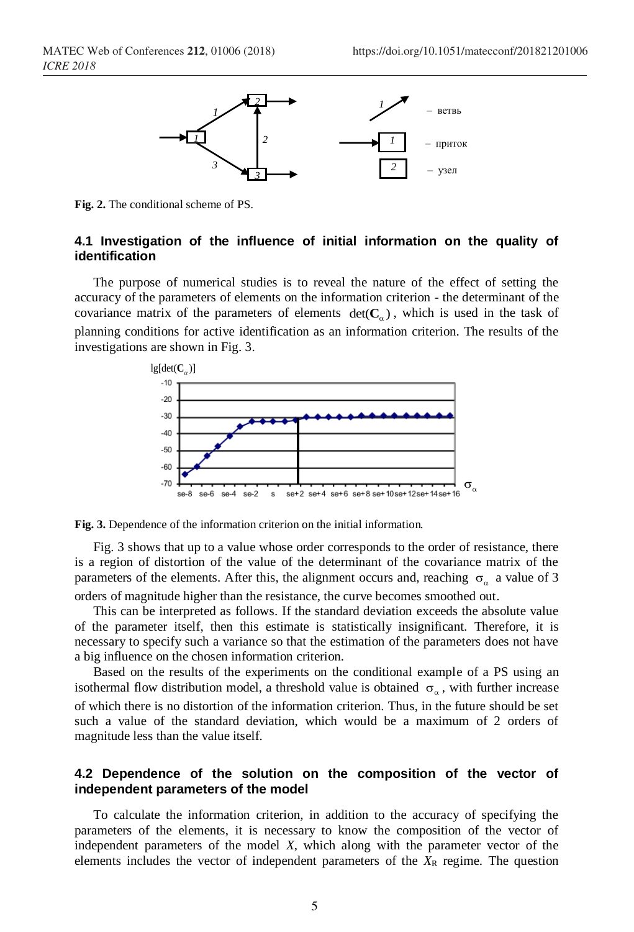

**Fig. 2.** The conditional scheme of PS.

#### **4.1 Investigation of the influence of initial information on the quality of identification**

The purpose of numerical studies is to reveal the nature of the effect of setting the accuracy of the parameters of elements on the information criterion - the determinant of the covariance matrix of the parameters of elements  $det(C_{\alpha})$ , which is used in the task of planning conditions for active identification as an information criterion. The results of the investigations are shown in Fig. 3.



**Fig. 3.** Dependence of the information criterion on the initial information.

Fig. 3 shows that up to a value whose order corresponds to the order of resistance, there is a region of distortion of the value of the determinant of the covariance matrix of the parameters of the elements. After this, the alignment occurs and, reaching  $\sigma_a$  a value of 3 orders of magnitude higher than the resistance, the curve becomes smoothed out.

This can be interpreted as follows. If the standard deviation exceeds the absolute value of the parameter itself, then this estimate is statistically insignificant. Therefore, it is necessary to specify such a variance so that the estimation of the parameters does not have a big influence on the chosen information criterion.

Based on the results of the experiments on the conditional example of a PS using an isothermal flow distribution model, a threshold value is obtained  $\sigma_a$ , with further increase of which there is no distortion of the information criterion. Thus, in the future should be set such a value of the standard deviation, which would be a maximum of 2 orders of magnitude less than the value itself.

#### **4.2 Dependence of the solution on the composition of the vector of independent parameters of the model**

To calculate the information criterion, in addition to the accuracy of specifying the parameters of the elements, it is necessary to know the composition of the vector of independent parameters of the model *X*, which along with the parameter vector of the elements includes the vector of independent parameters of the  $X_R$  regime. The question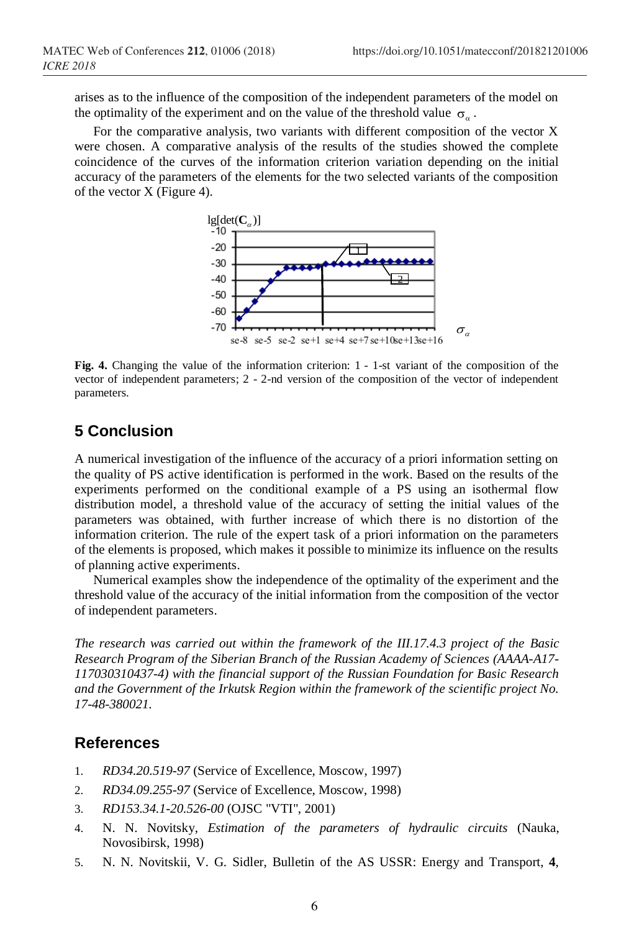arises as to the influence of the composition of the independent parameters of the model on the optimality of the experiment and on the value of the threshold value  $\sigma_{\alpha}$ .

For the comparative analysis, two variants with different composition of the vector X were chosen. A comparative analysis of the results of the studies showed the complete coincidence of the curves of the information criterion variation depending on the initial accuracy of the parameters of the elements for the two selected variants of the composition of the vector X (Figure 4).



**Fig. 4.** Changing the value of the information criterion: 1 - 1-st variant of the composition of the vector of independent parameters; 2 - 2-nd version of the composition of the vector of independent parameters.

## **5 Conclusion**

A numerical investigation of the influence of the accuracy of a priori information setting on the quality of PS active identification is performed in the work. Based on the results of the experiments performed on the conditional example of a PS using an isothermal flow distribution model, a threshold value of the accuracy of setting the initial values of the parameters was obtained, with further increase of which there is no distortion of the information criterion. The rule of the expert task of a priori information on the parameters of the elements is proposed, which makes it possible to minimize its influence on the results of planning active experiments.

Numerical examples show the independence of the optimality of the experiment and the threshold value of the accuracy of the initial information from the composition of the vector of independent parameters.

*The research was carried out within the framework of the III.17.4.3 project of the Basic Research Program of the Siberian Branch of the Russian Academy of Sciences (AAAA-A17- 117030310437-4) with the financial support of the Russian Foundation for Basic Research and the Government of the Irkutsk Region within the framework of the scientific project No. 17-48-380021.*

### **References**

- 1. *RD34.20.519-97* (Service of Excellence, Moscow, 1997)
- 2. *RD34.09.255-97* (Service of Excellence, Moscow, 1998)
- 3. *RD153.34.1-20.526-00* (OJSC "VTI", 2001)
- 4. N. N. Novitsky, *Estimation of the parameters of hydraulic circuits* (Nauka, Novosibirsk, 1998)
- 5. N. N. Novitskii, V. G. Sidler, Bulletin of the AS USSR: Energy and Transport, **4**,